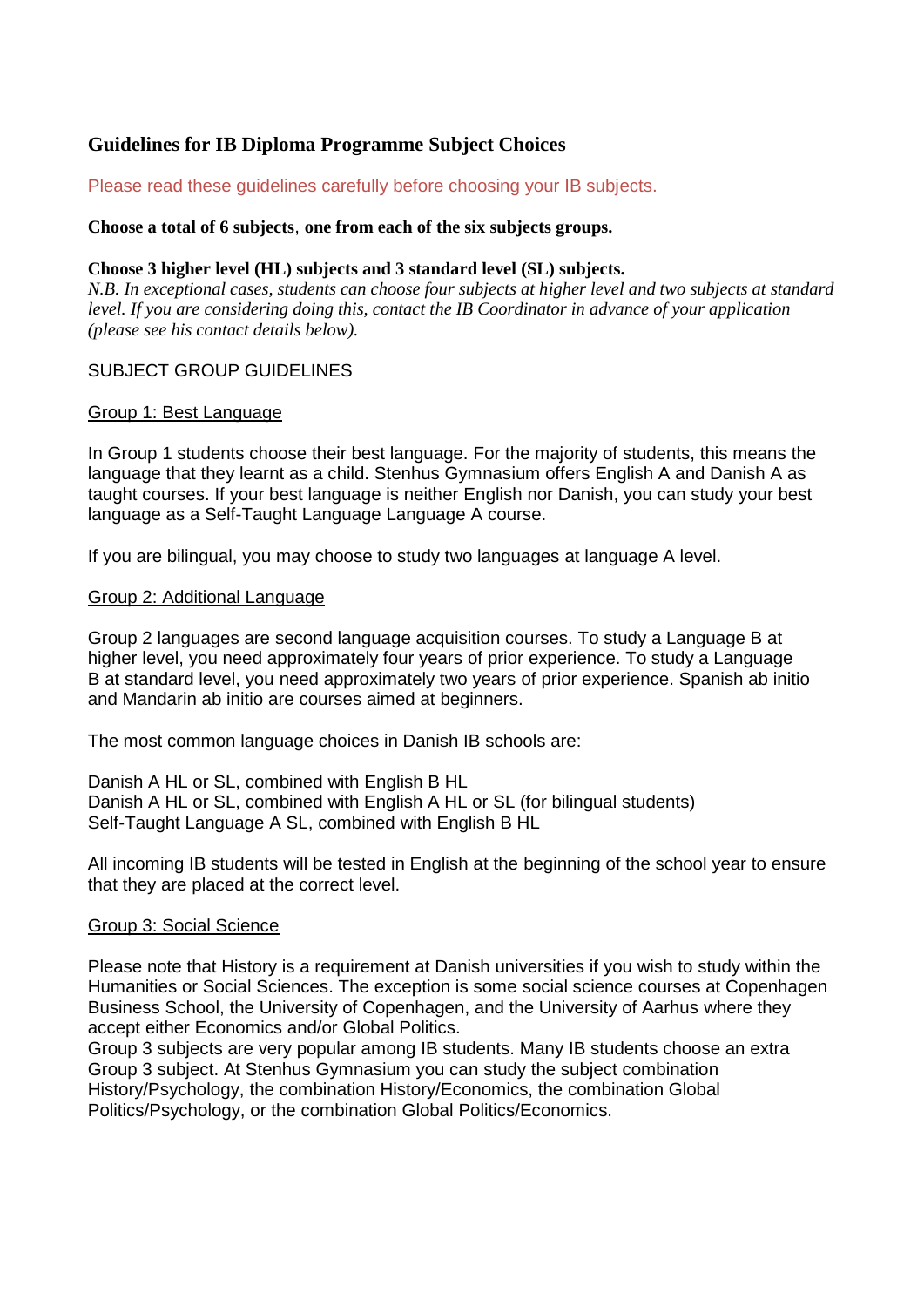# **Guidelines for IB Diploma Programme Subject Choices**

# Please read these guidelines carefully before choosing your IB subjects.

### **Choose a total of 6 subjects**, **one from each of the six subjects groups.**

### **Choose 3 higher level (HL) subjects and 3 standard level (SL) subjects.**

*N.B. In exceptional cases, students can choose four subjects at higher level and two subjects at standard level. If you are considering doing this, contact the IB Coordinator in advance of your application (please see his contact details below).*

# SUBJECT GROUP GUIDELINES

### Group 1: Best Language

In Group 1 students choose their best language. For the majority of students, this means the language that they learnt as a child. Stenhus Gymnasium offers English A and Danish A as taught courses. If your best language is neither English nor Danish, you can study your best language as a Self-Taught Language Language A course.

If you are bilingual, you may choose to study two languages at language A level.

#### Group 2: Additional Language

Group 2 languages are second language acquisition courses. To study a Language B at higher level, you need approximately four years of prior experience. To study a Language B at standard level, you need approximately two years of prior experience. Spanish ab initio and Mandarin ab initio are courses aimed at beginners.

The most common language choices in Danish IB schools are:

Danish A HL or SL, combined with English B HL Danish A HL or SL, combined with English A HL or SL (for bilingual students) Self-Taught Language A SL, combined with English B HL

All incoming IB students will be tested in English at the beginning of the school year to ensure that they are placed at the correct level.

# Group 3: Social Science

Please note that History is a requirement at Danish universities if you wish to study within the Humanities or Social Sciences. The exception is some social science courses at Copenhagen Business School, the University of Copenhagen, and the University of Aarhus where they accept either Economics and/or Global Politics.

Group 3 subjects are very popular among IB students. Many IB students choose an extra Group 3 subject. At Stenhus Gymnasium you can study the subject combination History/Psychology, the combination History/Economics, the combination Global Politics/Psychology, or the combination Global Politics/Economics.